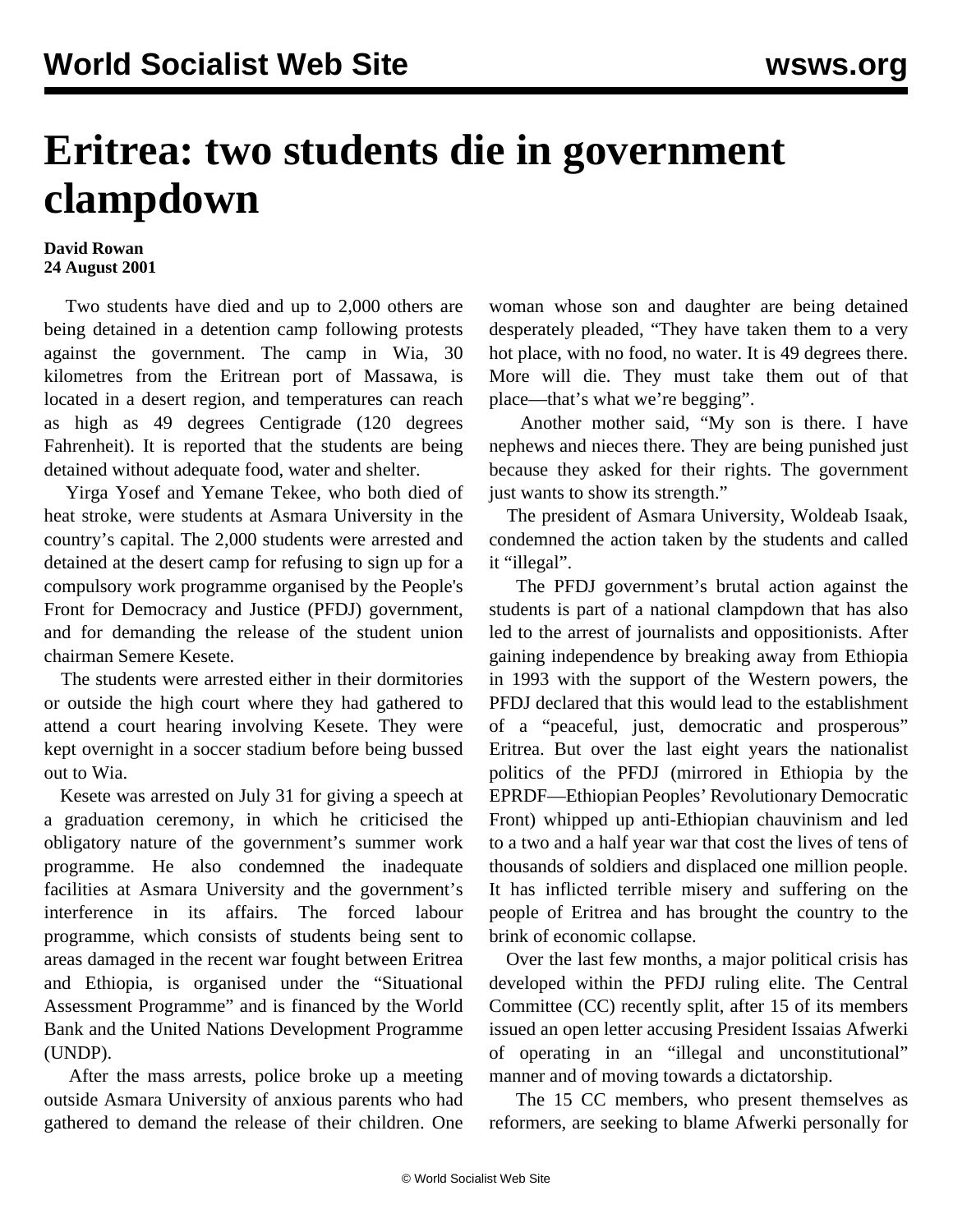## **Eritrea: two students die in government clampdown**

## **David Rowan 24 August 2001**

 Two students have died and up to 2,000 others are being detained in a detention camp following protests against the government. The camp in Wia, 30 kilometres from the Eritrean port of Massawa, is located in a desert region, and temperatures can reach as high as 49 degrees Centigrade (120 degrees Fahrenheit). It is reported that the students are being detained without adequate food, water and shelter.

 Yirga Yosef and Yemane Tekee, who both died of heat stroke, were students at Asmara University in the country's capital. The 2,000 students were arrested and detained at the desert camp for refusing to sign up for a compulsory work programme organised by the People's Front for Democracy and Justice (PFDJ) government, and for demanding the release of the student union chairman Semere Kesete.

 The students were arrested either in their dormitories or outside the high court where they had gathered to attend a court hearing involving Kesete. They were kept overnight in a soccer stadium before being bussed out to Wia.

 Kesete was arrested on July 31 for giving a speech at a graduation ceremony, in which he criticised the obligatory nature of the government's summer work programme. He also condemned the inadequate facilities at Asmara University and the government's interference in its affairs. The forced labour programme, which consists of students being sent to areas damaged in the recent war fought between Eritrea and Ethiopia, is organised under the "Situational Assessment Programme" and is financed by the World Bank and the United Nations Development Programme (UNDP).

 After the mass arrests, police broke up a meeting outside Asmara University of anxious parents who had gathered to demand the release of their children. One woman whose son and daughter are being detained desperately pleaded, "They have taken them to a very hot place, with no food, no water. It is 49 degrees there. More will die. They must take them out of that place—that's what we're begging".

 Another mother said, "My son is there. I have nephews and nieces there. They are being punished just because they asked for their rights. The government just wants to show its strength."

 The president of Asmara University, Woldeab Isaak, condemned the action taken by the students and called it "illegal".

 The PFDJ government's brutal action against the students is part of a national clampdown that has also led to the arrest of journalists and oppositionists. After gaining independence by breaking away from Ethiopia in 1993 with the support of the Western powers, the PFDJ declared that this would lead to the establishment of a "peaceful, just, democratic and prosperous" Eritrea. But over the last eight years the nationalist politics of the PFDJ (mirrored in Ethiopia by the EPRDF—Ethiopian Peoples' Revolutionary Democratic Front) whipped up anti-Ethiopian chauvinism and led to a two and a half year war that cost the lives of tens of thousands of soldiers and displaced one million people. It has inflicted terrible misery and suffering on the people of Eritrea and has brought the country to the brink of economic collapse.

 Over the last few months, a major political crisis has developed within the PFDJ ruling elite. The Central Committee (CC) recently split, after 15 of its members issued an open letter accusing President Issaias Afwerki of operating in an "illegal and unconstitutional" manner and of moving towards a dictatorship.

 The 15 CC members, who present themselves as reformers, are seeking to blame Afwerki personally for